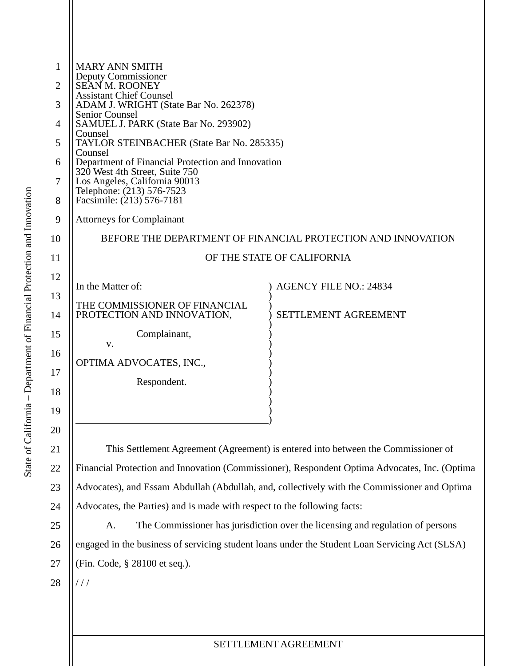| 1  | <b>MARY ANN SMITH</b>                                                                          |                                                                                |  |
|----|------------------------------------------------------------------------------------------------|--------------------------------------------------------------------------------|--|
| 2  | Deputy Commissioner<br><b>SEAN M. ROONEY</b>                                                   |                                                                                |  |
| 3  | <b>Assistant Chief Counsel</b><br>ADAM J. WRIGHT (State Bar No. 262378)                        |                                                                                |  |
| 4  | <b>Senior Counsel</b><br>SAMUEL J. PARK (State Bar No. 293902)                                 |                                                                                |  |
| 5  | Counsel<br><b>TAYLOR STEINBACHER (State Bar No. 285335)</b>                                    |                                                                                |  |
| 6  | Counsel<br>Department of Financial Protection and Innovation                                   |                                                                                |  |
| 7  | 320 West 4th Street, Suite 750<br>Los Angeles, California 90013                                |                                                                                |  |
| 8  | Telephone: (213) 576-7523<br>Facsimile: (213) 576-7181                                         |                                                                                |  |
| 9  | <b>Attorneys for Complainant</b>                                                               |                                                                                |  |
| 10 |                                                                                                | BEFORE THE DEPARTMENT OF FINANCIAL PROTECTION AND INNOVATION                   |  |
| 11 | OF THE STATE OF CALIFORNIA                                                                     |                                                                                |  |
| 12 |                                                                                                |                                                                                |  |
| 13 | In the Matter of:                                                                              | <b>AGENCY FILE NO.: 24834</b>                                                  |  |
| 14 | THE COMMISSIONER OF FINANCIAL<br>PROTECTION AND INNOVATION,                                    | SETTLEMENT AGREEMENT                                                           |  |
| 15 | Complainant,<br>v.                                                                             |                                                                                |  |
| 16 | OPTIMA ADVOCATES, INC.,                                                                        |                                                                                |  |
| 17 | Respondent.                                                                                    |                                                                                |  |
| 18 |                                                                                                |                                                                                |  |
| 19 |                                                                                                |                                                                                |  |
| 20 |                                                                                                |                                                                                |  |
| 21 | This Settlement Agreement (Agreement) is entered into between the Commissioner of              |                                                                                |  |
| 22 | Financial Protection and Innovation (Commissioner), Respondent Optima Advocates, Inc. (Optima  |                                                                                |  |
| 23 | Advocates), and Essam Abdullah (Abdullah, and, collectively with the Commissioner and Optima   |                                                                                |  |
| 24 | Advocates, the Parties) and is made with respect to the following facts:                       |                                                                                |  |
| 25 | A.                                                                                             | The Commissioner has jurisdiction over the licensing and regulation of persons |  |
| 26 | engaged in the business of servicing student loans under the Student Loan Servicing Act (SLSA) |                                                                                |  |
| 27 | (Fin. Code, § 28100 et seq.).                                                                  |                                                                                |  |
| 28 | $\frac{1}{2}$                                                                                  |                                                                                |  |
|    |                                                                                                |                                                                                |  |
|    |                                                                                                |                                                                                |  |
|    |                                                                                                |                                                                                |  |

## SETTLEMENT AGREEMENT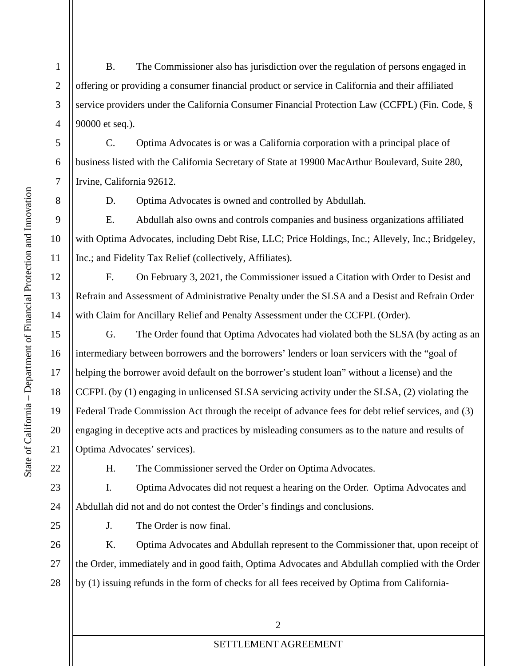B. The Commissioner also has jurisdiction over the regulation of persons engaged in offering or providing a consumer financial product or service in California and their affiliated service providers under the California Consumer Financial Protection Law (CCFPL) (Fin. Code, § 90000 et seq.).

C. Optima Advocates is or was a California corporation with a principal place of business listed with the California Secretary of State at 19900 MacArthur Boulevard, Suite 280, Irvine, California 92612.

1

2

3

4

5

6

7

8

9

10

11

12

13

14

15

16

17

18

19

20

21

22

23

24

25

D. Optima Advocates is owned and controlled by Abdullah.

E. Abdullah also owns and controls companies and business organizations affiliated with Optima Advocates, including Debt Rise, LLC; Price Holdings, Inc.; Allevely, Inc.; Bridgeley, Inc.; and Fidelity Tax Relief (collectively, Affiliates).

F. On February 3, 2021, the Commissioner issued a Citation with Order to Desist and Refrain and Assessment of Administrative Penalty under the SLSA and a Desist and Refrain Order with Claim for Ancillary Relief and Penalty Assessment under the CCFPL (Order).

G. The Order found that Optima Advocates had violated both the SLSA (by acting as an intermediary between borrowers and the borrowers' lenders or loan servicers with the "goal of helping the borrower avoid default on the borrower's student loan" without a license) and the CCFPL (by (1) engaging in unlicensed SLSA servicing activity under the SLSA, (2) violating the Federal Trade Commission Act through the receipt of advance fees for debt relief services, and (3) engaging in deceptive acts and practices by misleading consumers as to the nature and results of Optima Advocates' services).

H. The Commissioner served the Order on Optima Advocates.

I. Optima Advocates did not request a hearing on the Order. Optima Advocates and Abdullah did not and do not contest the Order's findings and conclusions.

J. The Order is now final.

26 27 28 K. Optima Advocates and Abdullah represent to the Commissioner that, upon receipt of the Order, immediately and in good faith, Optima Advocates and Abdullah complied with the Order by (1) issuing refunds in the form of checks for all fees received by Optima from California-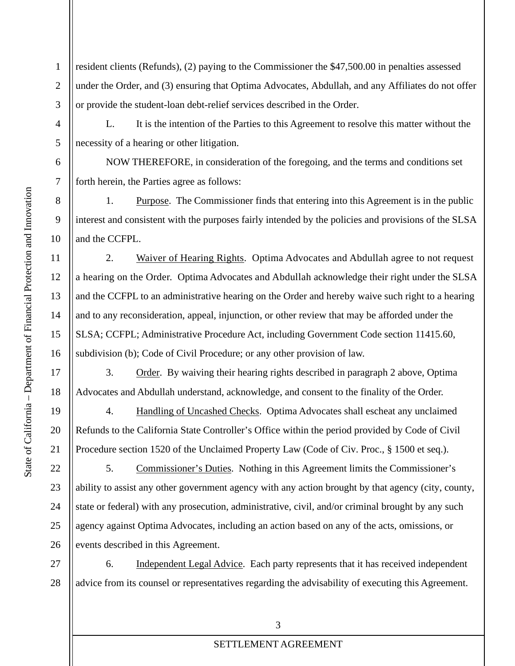1 2 3 resident clients (Refunds), (2) paying to the Commissioner the \$47,500.00 in penalties assessed under the Order, and (3) ensuring that Optima Advocates, Abdullah, and any Affiliates do not offer or provide the student-loan debt-relief services described in the Order.

L. It is the intention of the Parties to this Agreement to resolve this matter without the necessity of a hearing or other litigation.

 NOW THEREFORE, in consideration of the foregoing, and the terms and conditions set forth herein, the Parties agree as follows:

1. Purpose. The Commissioner finds that entering into this Agreement is in the public interest and consistent with the purposes fairly intended by the policies and provisions of the SLSA and the CCFPL.

2. Waiver of Hearing Rights. Optima Advocates and Abdullah agree to not request a hearing on the Order. Optima Advocates and Abdullah acknowledge their right under the SLSA and the CCFPL to an administrative hearing on the Order and hereby waive such right to a hearing and to any reconsideration, appeal, injunction, or other review that may be afforded under the SLSA; CCFPL; Administrative Procedure Act, including Government Code section 11415.60, subdivision (b); Code of Civil Procedure; or any other provision of law.

3. Order. By waiving their hearing rights described in paragraph 2 above, Optima Advocates and Abdullah understand, acknowledge, and consent to the finality of the Order.

4. Handling of Uncashed Checks. Optima Advocates shall escheat any unclaimed Refunds to the California State Controller's Office within the period provided by Code of Civil Procedure section 1520 of the Unclaimed Property Law (Code of Civ. Proc., § 1500 et seq.).

5. Commissioner's Duties. Nothing in this Agreement limits the Commissioner's ability to assist any other government agency with any action brought by that agency (city, county, state or federal) with any prosecution, administrative, civil, and/or criminal brought by any such agency against Optima Advocates, including an action based on any of the acts, omissions, or events described in this Agreement.

27 28 6. Independent Legal Advice. Each party represents that it has received independent advice from its counsel or representatives regarding the advisability of executing this Agreement.

4

5

6

7

8

9

10

11

12

13

14

15

16

17

18

19

20

21

22

23

24

25

26

## SETTLEMENT AGREEMENT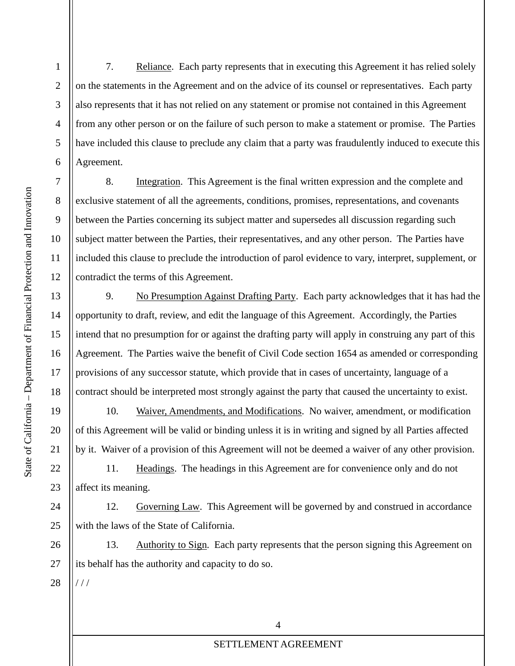1

2

3

4

5

6

7

8

9

10

11

12

13

14

15

16

17

18

19

20

21

22

23

24

25

7. Reliance. Each party represents that in executing this Agreement it has relied solely on the statements in the Agreement and on the advice of its counsel or representatives. Each party also represents that it has not relied on any statement or promise not contained in this Agreement from any other person or on the failure of such person to make a statement or promise. The Parties have included this clause to preclude any claim that a party was fraudulently induced to execute this Agreement.

8. Integration. This Agreement is the final written expression and the complete and exclusive statement of all the agreements, conditions, promises, representations, and covenants between the Parties concerning its subject matter and supersedes all discussion regarding such subject matter between the Parties, their representatives, and any other person. The Parties have included this clause to preclude the introduction of parol evidence to vary, interpret, supplement, or contradict the terms of this Agreement.

9. No Presumption Against Drafting Party. Each party acknowledges that it has had the opportunity to draft, review, and edit the language of this Agreement. Accordingly, the Parties intend that no presumption for or against the drafting party will apply in construing any part of this Agreement. The Parties waive the benefit of Civil Code section 1654 as amended or corresponding provisions of any successor statute, which provide that in cases of uncertainty, language of a contract should be interpreted most strongly against the party that caused the uncertainty to exist.

10. Waiver, Amendments, and Modifications. No waiver, amendment, or modification of this Agreement will be valid or binding unless it is in writing and signed by all Parties affected by it. Waiver of a provision of this Agreement will not be deemed a waiver of any other provision.

11. Headings. The headings in this Agreement are for convenience only and do not affect its meaning.

12. Governing Law. This Agreement will be governed by and construed in accordance with the laws of the State of California.

26 27 13. Authority to Sign. Each party represents that the person signing this Agreement on its behalf has the authority and capacity to do so.

28 / / /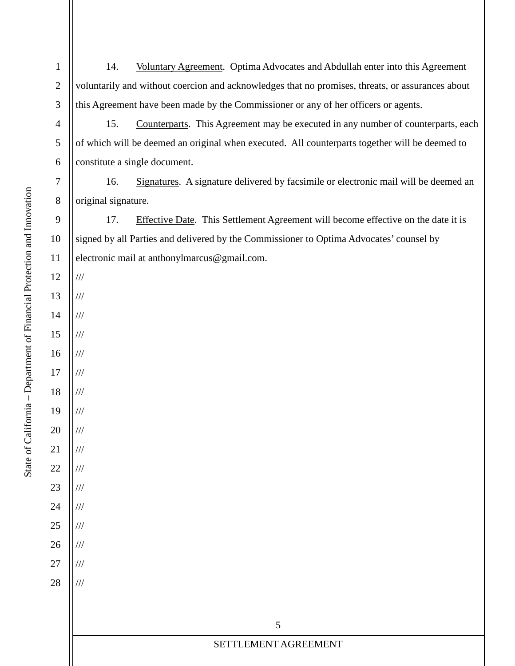1 2 3 14. Voluntary Agreement. Optima Advocates and Abdullah enter into this Agreement voluntarily and without coercion and acknowledges that no promises, threats, or assurances about this Agreement have been made by the Commissioner or any of her officers or agents.

15. Counterparts. This Agreement may be executed in any number of counterparts, each of which will be deemed an original when executed. All counterparts together will be deemed to constitute a single document.

16. Signatures. A signature delivered by facsimile or electronic mail will be deemed an original signature.

17. Effective Date. This Settlement Agreement will become effective on the date it is signed by all Parties and delivered by the Commissioner to Optima Advocates' counsel by electronic mail at anthonylmarcus@gmail.com.

5

SETTLEMENT AGREEMENT

12

///

///

///

///

///

///

///

///

///

///

///

///

///

///

///

///

///

4

5

6

7

8

9

10

11

13

14

15

16

17

18

19

20

21

22

23

24

25

26

27

28

State of California - Department of Financial Protection and Innovation – Department of Financial Protection and Innovation State of California